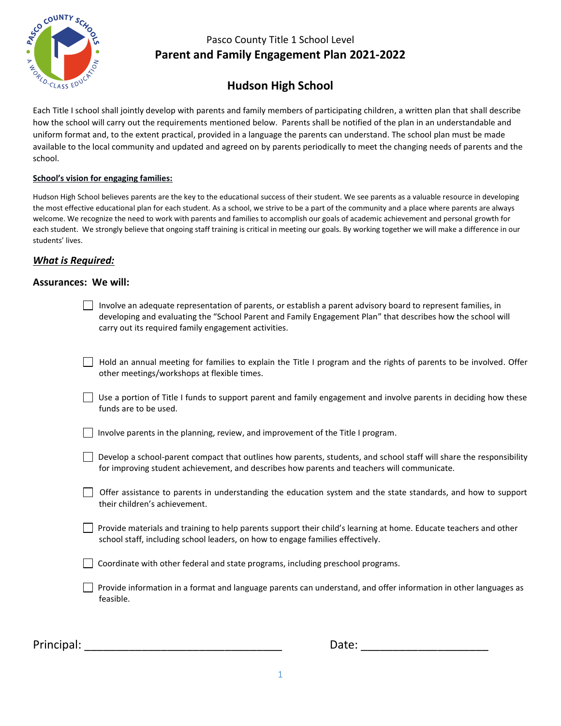

# **Hudson High School**

Each Title I school shall jointly develop with parents and family members of participating children, a written plan that shall describe how the school will carry out the requirements mentioned below. Parents shall be notified of the plan in an understandable and uniform format and, to the extent practical, provided in a language the parents can understand. The school plan must be made available to the local community and updated and agreed on by parents periodically to meet the changing needs of parents and the school.

#### **School's vision for engaging families:**

Hudson High School believes parents are the key to the educational success of their student. We see parents as a valuable resource in developing the most effective educational plan for each student. As a school, we strive to be a part of the community and a place where parents are always welcome. We recognize the need to work with parents and families to accomplish our goals of academic achievement and personal growth for each student. We strongly believe that ongoing staff training is critical in meeting our goals. By working together we will make a difference in our students' lives.

#### *What is Required:*

#### **Assurances: We will:**

| Involve an adequate representation of parents, or establish a parent advisory board to represent families, in |
|---------------------------------------------------------------------------------------------------------------|
| developing and evaluating the "School Parent and Family Engagement Plan" that describes how the school will   |
| carry out its required family engagement activities.                                                          |

Hold an annual meeting for families to explain the Title I program and the rights of parents to be involved. Offer other meetings/workshops at flexible times.

- $\Box$  Use a portion of Title I funds to support parent and family engagement and involve parents in deciding how these funds are to be used.
- $\Box$  Involve parents in the planning, review, and improvement of the Title I program.
- $\Box$  Develop a school-parent compact that outlines how parents, students, and school staff will share the responsibility for improving student achievement, and describes how parents and teachers will communicate.
- Offer assistance to parents in understanding the education system and the state standards, and how to support their children's achievement.
- $\Box$  Provide materials and training to help parents support their child's learning at home. Educate teachers and other school staff, including school leaders, on how to engage families effectively.
- $\Box$  Coordinate with other federal and state programs, including preschool programs.
	- Provide information in a format and language parents can understand, and offer information in other languages as feasible.

| Principal: |  |
|------------|--|
|            |  |

Date:  $\frac{1}{2}$  Date:  $\frac{1}{2}$  Date:  $\frac{1}{2}$  Date:  $\frac{1}{2}$  Date:  $\frac{1}{2}$  Date:  $\frac{1}{2}$  Date:  $\frac{1}{2}$  Date:  $\frac{1}{2}$  Date:  $\frac{1}{2}$  Date:  $\frac{1}{2}$  Date:  $\frac{1}{2}$  Date:  $\frac{1}{2}$  Date:  $\frac{1}{2}$  Date:  $\frac{1}{2$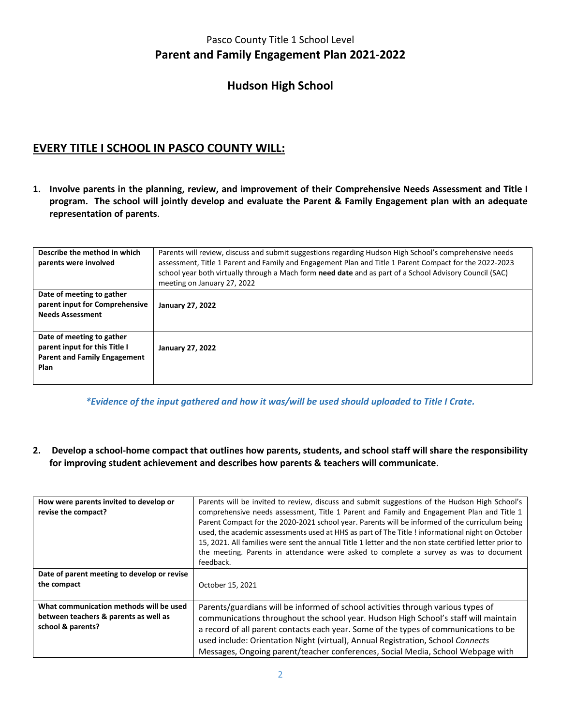## **Hudson High School**

# **EVERY TITLE I SCHOOL IN PASCO COUNTY WILL:**

**1. Involve parents in the planning, review, and improvement of their Comprehensive Needs Assessment and Title I program. The school will jointly develop and evaluate the Parent & Family Engagement plan with an adequate representation of parents**.

| Describe the method in which<br>parents were involved                                                            | Parents will review, discuss and submit suggestions regarding Hudson High School's comprehensive needs<br>assessment, Title 1 Parent and Family and Engagement Plan and Title 1 Parent Compact for the 2022-2023<br>school year both virtually through a Mach form need date and as part of a School Advisory Council (SAC)<br>meeting on January 27, 2022 |
|------------------------------------------------------------------------------------------------------------------|------------------------------------------------------------------------------------------------------------------------------------------------------------------------------------------------------------------------------------------------------------------------------------------------------------------------------------------------------------|
| Date of meeting to gather<br>parent input for Comprehensive<br><b>Needs Assessment</b>                           | <b>January 27, 2022</b>                                                                                                                                                                                                                                                                                                                                    |
| Date of meeting to gather<br>parent input for this Title I<br><b>Parent and Family Engagement</b><br><b>Plan</b> | <b>January 27, 2022</b>                                                                                                                                                                                                                                                                                                                                    |

*\*Evidence of the input gathered and how it was/will be used should uploaded to Title I Crate.*

**2. Develop a school-home compact that outlines how parents, students, and school staff will share the responsibility for improving student achievement and describes how parents & teachers will communicate**.

| How were parents invited to develop or<br>revise the compact?                                         | Parents will be invited to review, discuss and submit suggestions of the Hudson High School's<br>comprehensive needs assessment, Title 1 Parent and Family and Engagement Plan and Title 1<br>Parent Compact for the 2020-2021 school year. Parents will be informed of the curriculum being<br>used, the academic assessments used at HHS as part of The Title! informational night on October<br>15, 2021. All families were sent the annual Title 1 letter and the non state certified letter prior to<br>the meeting. Parents in attendance were asked to complete a survey as was to document<br>feedback. |
|-------------------------------------------------------------------------------------------------------|-----------------------------------------------------------------------------------------------------------------------------------------------------------------------------------------------------------------------------------------------------------------------------------------------------------------------------------------------------------------------------------------------------------------------------------------------------------------------------------------------------------------------------------------------------------------------------------------------------------------|
| Date of parent meeting to develop or revise<br>the compact                                            | October 15, 2021                                                                                                                                                                                                                                                                                                                                                                                                                                                                                                                                                                                                |
| What communication methods will be used<br>between teachers & parents as well as<br>school & parents? | Parents/guardians will be informed of school activities through various types of<br>communications throughout the school year. Hudson High School's staff will maintain<br>a record of all parent contacts each year. Some of the types of communications to be<br>used include: Orientation Night (virtual), Annual Registration, School Connects<br>Messages, Ongoing parent/teacher conferences, Social Media, School Webpage with                                                                                                                                                                           |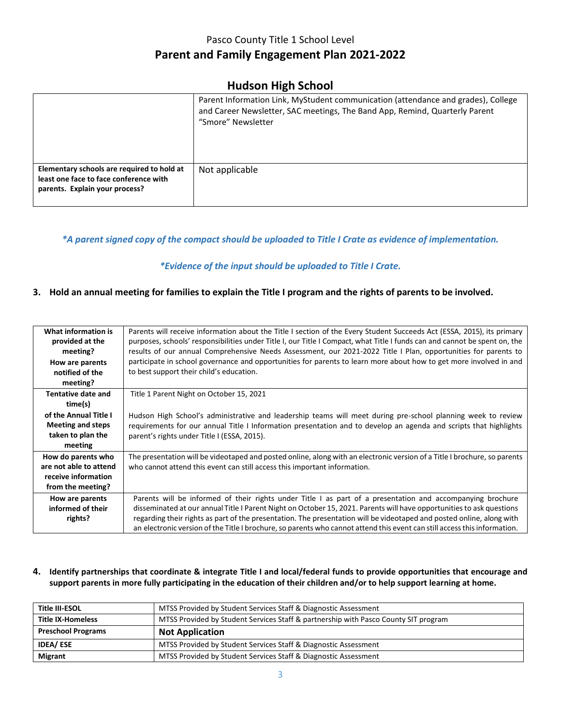### **Hudson High School**

|                                                                                                                        | Parent Information Link, MyStudent communication (attendance and grades), College<br>and Career Newsletter, SAC meetings, The Band App, Remind, Quarterly Parent<br>"Smore" Newsletter |
|------------------------------------------------------------------------------------------------------------------------|----------------------------------------------------------------------------------------------------------------------------------------------------------------------------------------|
| Elementary schools are required to hold at<br>least one face to face conference with<br>parents. Explain your process? | Not applicable                                                                                                                                                                         |

#### *\*A parent signed copy of the compact should be uploaded to Title I Crate as evidence of implementation.*

#### *\*Evidence of the input should be uploaded to Title I Crate.*

#### **3. Hold an annual meeting for families to explain the Title I program and the rights of parents to be involved.**

| What information is<br>provided at the<br>meeting?<br>How are parents<br>notified of the<br>meeting? | Parents will receive information about the Title I section of the Every Student Succeeds Act (ESSA, 2015), its primary<br>purposes, schools' responsibilities under Title I, our Title I Compact, what Title I funds can and cannot be spent on, the<br>results of our annual Comprehensive Needs Assessment, our 2021-2022 Title I Plan, opportunities for parents to<br>participate in school governance and opportunities for parents to learn more about how to get more involved in and<br>to best support their child's education. |
|------------------------------------------------------------------------------------------------------|------------------------------------------------------------------------------------------------------------------------------------------------------------------------------------------------------------------------------------------------------------------------------------------------------------------------------------------------------------------------------------------------------------------------------------------------------------------------------------------------------------------------------------------|
| Tentative date and                                                                                   | Title 1 Parent Night on October 15, 2021                                                                                                                                                                                                                                                                                                                                                                                                                                                                                                 |
| time(s)                                                                                              |                                                                                                                                                                                                                                                                                                                                                                                                                                                                                                                                          |
| of the Annual Title I                                                                                | Hudson High School's administrative and leadership teams will meet during pre-school planning week to review                                                                                                                                                                                                                                                                                                                                                                                                                             |
| <b>Meeting and steps</b>                                                                             | requirements for our annual Title I Information presentation and to develop an agenda and scripts that highlights                                                                                                                                                                                                                                                                                                                                                                                                                        |
| taken to plan the                                                                                    | parent's rights under Title I (ESSA, 2015).                                                                                                                                                                                                                                                                                                                                                                                                                                                                                              |
| meeting                                                                                              |                                                                                                                                                                                                                                                                                                                                                                                                                                                                                                                                          |
| How do parents who                                                                                   | The presentation will be videotaped and posted online, along with an electronic version of a Title I brochure, so parents                                                                                                                                                                                                                                                                                                                                                                                                                |
| are not able to attend                                                                               | who cannot attend this event can still access this important information.                                                                                                                                                                                                                                                                                                                                                                                                                                                                |
| receive information                                                                                  |                                                                                                                                                                                                                                                                                                                                                                                                                                                                                                                                          |
| from the meeting?                                                                                    |                                                                                                                                                                                                                                                                                                                                                                                                                                                                                                                                          |
| How are parents                                                                                      | Parents will be informed of their rights under Title I as part of a presentation and accompanying brochure                                                                                                                                                                                                                                                                                                                                                                                                                               |
| informed of their                                                                                    | disseminated at our annual Title I Parent Night on October 15, 2021. Parents will have opportunities to ask questions                                                                                                                                                                                                                                                                                                                                                                                                                    |
| rights?                                                                                              | regarding their rights as part of the presentation. The presentation will be videotaped and posted online, along with                                                                                                                                                                                                                                                                                                                                                                                                                    |
|                                                                                                      | an electronic version of the Title I brochure, so parents who cannot attend this event can still access this information.                                                                                                                                                                                                                                                                                                                                                                                                                |

#### **4. Identify partnerships that coordinate & integrate Title I and local/federal funds to provide opportunities that encourage and support parents in more fully participating in the education of their children and/or to help support learning at home.**

| Title III-ESOL            | MTSS Provided by Student Services Staff & Diagnostic Assessment                     |  |  |  |
|---------------------------|-------------------------------------------------------------------------------------|--|--|--|
| <b>Title IX-Homeless</b>  | MTSS Provided by Student Services Staff & partnership with Pasco County SIT program |  |  |  |
| <b>Preschool Programs</b> | <b>Not Application</b>                                                              |  |  |  |
| <b>IDEA/ESE</b>           | MTSS Provided by Student Services Staff & Diagnostic Assessment                     |  |  |  |
| <b>Migrant</b>            | MTSS Provided by Student Services Staff & Diagnostic Assessment                     |  |  |  |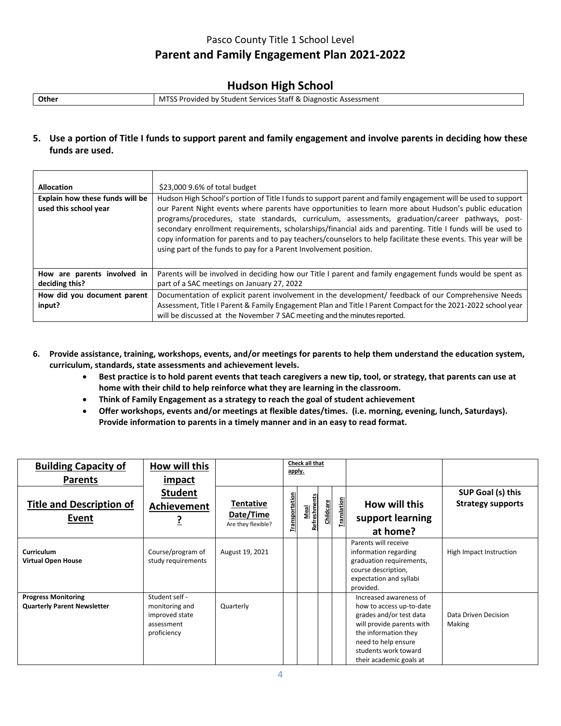## **Hudson High School**

| <b>Other</b> | MTSS Provided by Student Services Staff & Diagnostic Assessment |
|--------------|-----------------------------------------------------------------|
|              |                                                                 |

#### **5. Use a portion of Title I funds to support parent and family engagement and involve parents in deciding how these funds are used.**

| <b>Allocation</b><br>Explain how these funds will be<br>used this school year | \$23,000 9.6% of total budget<br>Hudson High School's portion of Title I funds to support parent and family engagement will be used to support<br>our Parent Night events where parents have opportunities to learn more about Hudson's public education<br>programs/procedures, state standards, curriculum, assessments, graduation/career pathways, post-<br>secondary enrollment requirements, scholarships/financial aids and parenting. Title I funds will be used to<br>copy information for parents and to pay teachers/counselors to help facilitate these events. This year will be<br>using part of the funds to pay for a Parent Involvement position. |
|-------------------------------------------------------------------------------|--------------------------------------------------------------------------------------------------------------------------------------------------------------------------------------------------------------------------------------------------------------------------------------------------------------------------------------------------------------------------------------------------------------------------------------------------------------------------------------------------------------------------------------------------------------------------------------------------------------------------------------------------------------------|
| How are parents involved in<br>deciding this?                                 | Parents will be involved in deciding how our Title I parent and family engagement funds would be spent as<br>part of a SAC meetings on January 27, 2022                                                                                                                                                                                                                                                                                                                                                                                                                                                                                                            |
| How did you document parent<br>input?                                         | Documentation of explicit parent involvement in the development/ feedback of our Comprehensive Needs<br>Assessment, Title I Parent & Family Engagement Plan and Title I Parent Compact for the 2021-2022 school year<br>will be discussed at the November 7 SAC meeting and the minutes reported.                                                                                                                                                                                                                                                                                                                                                                  |

- **6. Provide assistance, training, workshops, events, and/or meetings for parents to help them understand the education system, curriculum, standards, state assessments and achievement levels.**
	- **Best practice is to hold parent events that teach caregivers a new tip, tool, or strategy, that parents can use at home with their child to help reinforce what they are learning in the classroom.**
	- **Think of Family Engagement as a strategy to reach the goal of student achievement**
	- **Offer workshops, events and/or meetings at flexible dates/times. (i.e. morning, evening, lunch, Saturdays). Provide information to parents in a timely manner and in an easy to read format.**

| <b>Building Capacity of</b><br><b>Parents</b>                    | How will this<br><i>impact</i>                                                  |                                              |                       | Check all that<br>apply. |                  |            |                                                                                                                                                                                                              |                                               |
|------------------------------------------------------------------|---------------------------------------------------------------------------------|----------------------------------------------|-----------------------|--------------------------|------------------|------------|--------------------------------------------------------------------------------------------------------------------------------------------------------------------------------------------------------------|-----------------------------------------------|
| <b>Title and Description of</b><br><b>Event</b>                  | <b>Student</b><br>Achievement                                                   | Tentative<br>Date/Time<br>Are they flexible? | <b>Transportation</b> | Meal<br>Refreshments     | <b>Childcare</b> | ranslation | How will this<br>support learning<br>at home?                                                                                                                                                                | SUP Goal (s) this<br><b>Strategy supports</b> |
| Curriculum<br><b>Virtual Open House</b>                          | Course/program of<br>study requirements                                         | August 19, 2021                              |                       |                          |                  |            | Parents will receive<br>information regarding<br>graduation requirements,<br>course description,<br>expectation and syllabi<br>provided.                                                                     | High Impact Instruction                       |
| <b>Progress Monitoring</b><br><b>Quarterly Parent Newsletter</b> | Student self -<br>monitoring and<br>improved state<br>assessment<br>proficiency | Quarterly                                    |                       |                          |                  |            | Increased awareness of<br>how to access up-to-date<br>grades and/or test data<br>will provide parents with<br>the information they<br>need to help ensure<br>students work toward<br>their academic goals at | Data Driven Decision<br>Making                |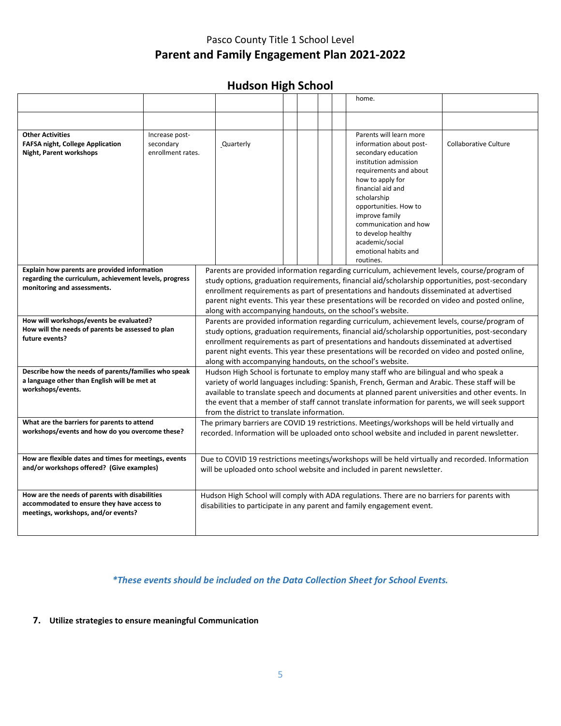## **Hudson High School**

|                                                                                                                                       |                                                                                                                                                                                                                                                                                                                                                                                                                                                              |           |  |  |  | home.                                                                                                                                                                                                                                                                                                                                  |                              |
|---------------------------------------------------------------------------------------------------------------------------------------|--------------------------------------------------------------------------------------------------------------------------------------------------------------------------------------------------------------------------------------------------------------------------------------------------------------------------------------------------------------------------------------------------------------------------------------------------------------|-----------|--|--|--|----------------------------------------------------------------------------------------------------------------------------------------------------------------------------------------------------------------------------------------------------------------------------------------------------------------------------------------|------------------------------|
|                                                                                                                                       |                                                                                                                                                                                                                                                                                                                                                                                                                                                              |           |  |  |  |                                                                                                                                                                                                                                                                                                                                        |                              |
| <b>Other Activities</b><br><b>FAFSA night, College Application</b><br>Night, Parent workshops                                         | Increase post-<br>secondary<br>enrollment rates.                                                                                                                                                                                                                                                                                                                                                                                                             | Quarterly |  |  |  | Parents will learn more<br>information about post-<br>secondary education<br>institution admission<br>requirements and about<br>how to apply for<br>financial aid and<br>scholarship<br>opportunities. How to<br>improve family<br>communication and how<br>to develop healthy<br>academic/social<br>emotional habits and<br>routines. | <b>Collaborative Culture</b> |
| Explain how parents are provided information<br>regarding the curriculum, achievement levels, progress<br>monitoring and assessments. | Parents are provided information regarding curriculum, achievement levels, course/program of<br>study options, graduation requirements, financial aid/scholarship opportunities, post-secondary<br>enrollment requirements as part of presentations and handouts disseminated at advertised<br>parent night events. This year these presentations will be recorded on video and posted online,<br>along with accompanying handouts, on the school's website. |           |  |  |  |                                                                                                                                                                                                                                                                                                                                        |                              |
| How will workshops/events be evaluated?<br>How will the needs of parents be assessed to plan<br>future events?                        | Parents are provided information regarding curriculum, achievement levels, course/program of<br>study options, graduation requirements, financial aid/scholarship opportunities, post-secondary<br>enrollment requirements as part of presentations and handouts disseminated at advertised<br>parent night events. This year these presentations will be recorded on video and posted online,<br>along with accompanying handouts, on the school's website. |           |  |  |  |                                                                                                                                                                                                                                                                                                                                        |                              |
| Describe how the needs of parents/families who speak<br>a language other than English will be met at<br>workshops/events.             | Hudson High School is fortunate to employ many staff who are bilingual and who speak a<br>variety of world languages including: Spanish, French, German and Arabic. These staff will be<br>available to translate speech and documents at planned parent universities and other events. In<br>the event that a member of staff cannot translate information for parents, we will seek support<br>from the district to translate information.                 |           |  |  |  |                                                                                                                                                                                                                                                                                                                                        |                              |
| What are the barriers for parents to attend<br>workshops/events and how do you overcome these?                                        | The primary barriers are COVID 19 restrictions. Meetings/workshops will be held virtually and<br>recorded. Information will be uploaded onto school website and included in parent newsletter.                                                                                                                                                                                                                                                               |           |  |  |  |                                                                                                                                                                                                                                                                                                                                        |                              |
| How are flexible dates and times for meetings, events<br>and/or workshops offered? (Give examples)                                    |                                                                                                                                                                                                                                                                                                                                                                                                                                                              |           |  |  |  | Due to COVID 19 restrictions meetings/workshops will be held virtually and recorded. Information<br>will be uploaded onto school website and included in parent newsletter.                                                                                                                                                            |                              |
| How are the needs of parents with disabilities<br>accommodated to ensure they have access to<br>meetings, workshops, and/or events?   |                                                                                                                                                                                                                                                                                                                                                                                                                                                              |           |  |  |  | Hudson High School will comply with ADA regulations. There are no barriers for parents with<br>disabilities to participate in any parent and family engagement event.                                                                                                                                                                  |                              |

#### *\*These events should be included on the Data Collection Sheet for School Events.*

#### **7. Utilize strategies to ensure meaningful Communication**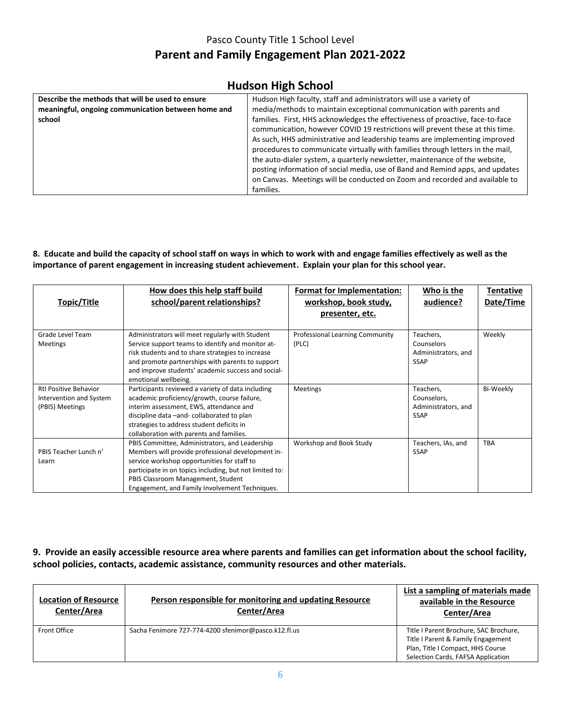### **Hudson High School**

| Describe the methods that will be used to ensure   | Hudson High faculty, staff and administrators will use a variety of            |
|----------------------------------------------------|--------------------------------------------------------------------------------|
| meaningful, ongoing communication between home and | media/methods to maintain exceptional communication with parents and           |
| school                                             | families. First, HHS acknowledges the effectiveness of proactive, face-to-face |
|                                                    | communication, however COVID 19 restrictions will prevent these at this time.  |
|                                                    | As such, HHS administrative and leadership teams are implementing improved     |
|                                                    | procedures to communicate virtually with families through letters in the mail, |
|                                                    | the auto-dialer system, a quarterly newsletter, maintenance of the website,    |
|                                                    | posting information of social media, use of Band and Remind apps, and updates  |
|                                                    | on Canvas. Meetings will be conducted on Zoom and recorded and available to    |
|                                                    | families.                                                                      |
|                                                    |                                                                                |

#### **8. Educate and build the capacity of school staff on ways in which to work with and engage families effectively as well as the importance of parent engagement in increasing student achievement. Explain your plan for this school year.**

| Topic/Title                                                                | How does this help staff build<br>school/parent relationships?                                                                                                                                                                                                                                        | <b>Format for Implementation:</b><br>workshop, book study,<br>presenter, etc. | Who is the<br>audience?                                        | Tentative<br>Date/Time |
|----------------------------------------------------------------------------|-------------------------------------------------------------------------------------------------------------------------------------------------------------------------------------------------------------------------------------------------------------------------------------------------------|-------------------------------------------------------------------------------|----------------------------------------------------------------|------------------------|
| Grade Level Team<br><b>Meetings</b>                                        | Administrators will meet regularly with Student<br>Service support teams to identify and monitor at-<br>risk students and to share strategies to increase<br>and promote partnerships with parents to support<br>and improve students' academic success and social-<br>emotional wellbeing.           | <b>Professional Learning Community</b><br>(PLC)                               | Teachers,<br>Counselors<br>Administrators, and<br><b>SSAP</b>  | Weekly                 |
| <b>Rtl Positive Behavior</b><br>Intervention and System<br>(PBIS) Meetings | Participants reviewed a variety of data including<br>academic proficiency/growth, course failure,<br>interim assessment, EWS, attendance and<br>discipline data -and- collaborated to plan<br>strategies to address student deficits in<br>collaboration with parents and families.                   | <b>Meetings</b>                                                               | Teachers,<br>Counselors,<br>Administrators, and<br><b>SSAP</b> | Bi-Weekly              |
| PBIS Teacher Lunch n'<br>Learn                                             | PBIS Committee, Administrators, and Leadership<br>Members will provide professional development in-<br>service workshop opportunities for staff to<br>participate in on topics including, but not limited to:<br>PBIS Classroom Management, Student<br>Engagement, and Family Involvement Techniques. | Workshop and Book Study                                                       | Teachers, IAs, and<br><b>SSAP</b>                              | <b>TBA</b>             |

#### **9. Provide an easily accessible resource area where parents and families can get information about the school facility, school policies, contacts, academic assistance, community resources and other materials.**

| <b>Location of Resource</b><br>Center/Area | Person responsible for monitoring and updating Resource<br>Center/Area | List a sampling of materials made<br>available in the Resource<br>Center/Area                                                                           |
|--------------------------------------------|------------------------------------------------------------------------|---------------------------------------------------------------------------------------------------------------------------------------------------------|
| Front Office                               | Sacha Fenimore 727-774-4200 sfenimor@pasco.k12.fl.us                   | Title I Parent Brochure, SAC Brochure,<br>Title I Parent & Family Engagement<br>Plan, Title I Compact, HHS Course<br>Selection Cards, FAFSA Application |